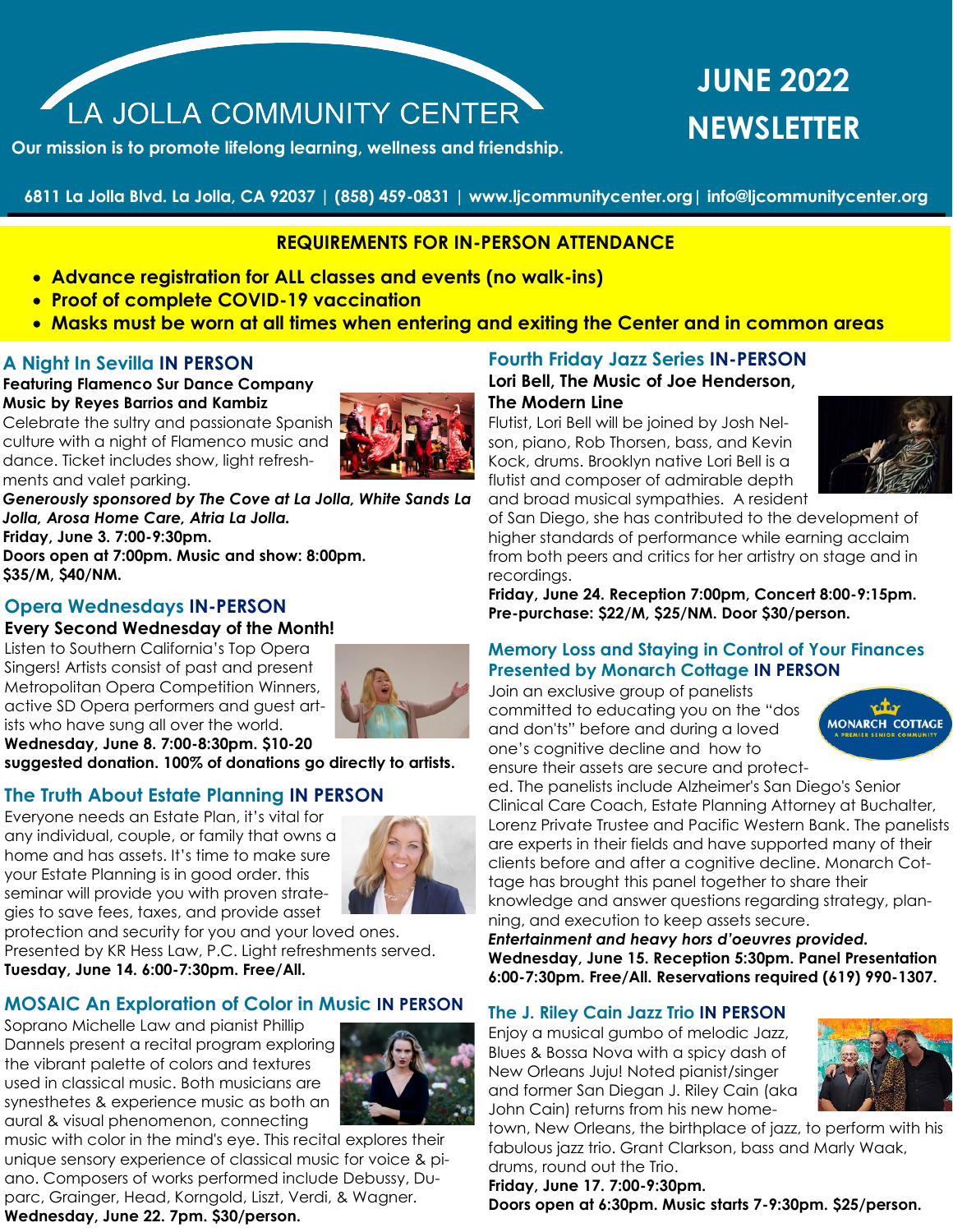# LA JOLLA COMMUNITY CENTER

**Our mission is to promote lifelong learning, wellness and friendship.**

## **JUNE 2022 NEWSLETTER**

**6811 La Jolla Blvd. La Jolla, CA 92037 | (858) 459-0831 | www.ljcommunitycenter.org| info@ljcommunitycenter.org**

## **REQUIREMENTS FOR IN-PERSON ATTENDANCE**

- • **Advance registration for ALL classes and events (no walk-ins)**
- • **Proof of complete COVID-19 vaccination**
- • **Masks must be worn at all times when entering and exiting the Center and in common areas**

## **A Night In Sevilla IN PERSON**

## **Featuring Flamenco Sur Dance Company Music by Reyes Barrios and Kambiz**

Celebrate the sultry and passionate Spanish **b** culture with a night of Flamenco music and dance. Ticket includes show, light refreshments and valet parking.



*Generously sponsored by The Cove at La Jolla, White Sands La Jolla, Arosa Home Care, Atria La Jolla.* **Friday, June 3. 7:00-9:30pm.** 

**Doors open at 7:00pm. Music and show: 8:00pm. \$35/M, \$40/NM.**

## **Opera Wednesdays IN-PERSON**

## **Every Second Wednesday of the Month!**

Listen to Southern California's Top Opera Singers! Artists consist of past and present Metropolitan Opera Competition Winners, active SD Opera performers and guest artists who have sung all over the world. **Wednesday, June 8. 7:00-8:30pm. \$10-20** 



**suggested donation. 100% of donations go directly to artists.** 

## **The Truth About Estate Planning IN PERSON**

Everyone needs an Estate Plan, it's vital for any individual, couple, or family that owns a home and has assets. It's time to make sure your Estate Planning is in good order. this seminar will provide you with proven strategies to save fees, taxes, and provide asset



protection and security for you and your loved ones. Presented by KR Hess Law, P.C. Light refreshments served. **Tuesday, June 14. 6:00-7:30pm. Free/All.**

## **MOSAIC An Exploration of Color in Music IN PERSON**

Soprano Michelle Law and pianist Phillip Dannels present a recital program exploring the vibrant palette of colors and textures used in classical music. Both musicians are synesthetes & experience music as both an aural & visual phenomenon, connecting



music with color in the mind's eye. This recital explores their unique sensory experience of classical music for voice & piano. Composers of works performed include Debussy, Duparc, Grainger, Head, Korngold, Liszt, Verdi, & Wagner. **Wednesday, June 22. 7pm. \$30/person.**

#### **Fourth Friday Jazz Series IN-PERSON Lori Bell, The Music of Joe Henderson,**

**The Modern Line**

Flutist, Lori Bell will be joined by Josh Nelson, piano, Rob Thorsen, bass, and Kevin Kock, drums. Brooklyn native Lori Bell is a flutist and composer of admirable depth and broad musical sympathies. A resident



of San Diego, she has contributed to the development of higher standards of performance while earning acclaim from both peers and critics for her artistry on stage and in recordings.

**Friday, June 24. Reception 7:00pm, Concert 8:00-9:15pm. Pre-purchase: \$22/M, \$25/NM. Door \$30/person.**

## **Memory Loss and Staying in Control of Your Finances Presented by Monarch Cottage IN PERSON**

Join an exclusive group of panelists committed to educating you on the "dos and don'ts" before and during a loved one's cognitive decline and how to ensure their assets are secure and protect-



ed. The panelists include Alzheimer's San Diego's Senior Clinical Care Coach, Estate Planning Attorney at Buchalter, Lorenz Private Trustee and Pacific Western Bank. The panelists are experts in their fields and have supported many of their clients before and after a cognitive decline. Monarch Cottage has brought this panel together to share their knowledge and answer questions regarding strategy, planning, and execution to keep assets secure.

*Entertainment and heavy hors d'oeuvres provided.* **Wednesday, June 15. Reception 5:30pm. Panel Presentation 6:00-7:30pm. Free/All. Reservations required (619) 990-1307.**

## **The J. Riley Cain Jazz Trio IN PERSON**

Enjoy a musical gumbo of melodic Jazz, Blues & Bossa Nova with a spicy dash of New Orleans Juju! Noted pianist/singer and former San Diegan J. Riley Cain (aka John Cain) returns from his new home-



town, New Orleans, the birthplace of jazz, to perform with his fabulous jazz trio. Grant Clarkson, bass and Marly Waak, drums, round out the Trio.

**Friday, June 17. 7:00-9:30pm. Doors open at 6:30pm. Music starts 7-9:30pm. \$25/person.**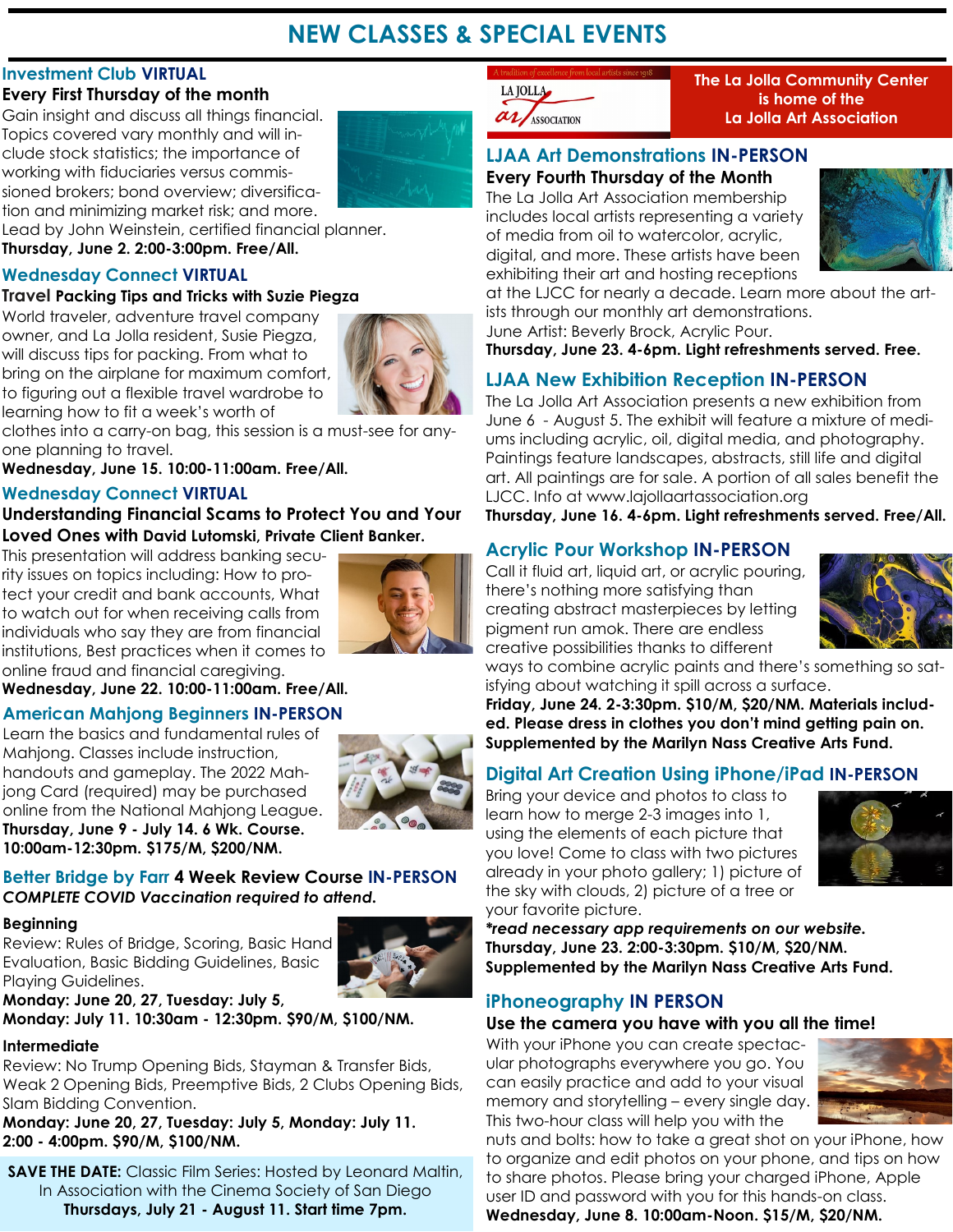## **NEW CLASSES & SPECIAL EVENTS**

## **Investment Club VIRTUAL**

## **Every First Thursday of the month**

Gain insight and discuss all things financial. Topics covered vary monthly and will include stock statistics; the importance of working with fiduciaries versus commissioned brokers; bond overview; diversification and minimizing market risk; and more.

Lead by John Weinstein, certified financial planner.

**Thursday, June 2. 2:00-3:00pm. Free/All.**

## **Wednesday Connect VIRTUAL**

## **Travel Packing Tips and Tricks with Suzie Piegza**

World traveler, adventure travel company owner, and La Jolla resident, Susie Piegza, will discuss tips for packing. From what to bring on the airplane for maximum comfort, to figuring out a flexible travel wardrobe to learning how to fit a week's worth of



clothes into a carry-on bag, this session is a must-see for anyone planning to travel.

**Wednesday, June 15. 10:00-11:00am. Free/All.**

## **Wednesday Connect VIRTUAL**

## **Understanding Financial Scams to Protect You and Your Loved Ones with David Lutomski, Private Client Banker.**

This presentation will address banking security issues on topics including: How to protect your credit and bank accounts, What to watch out for when receiving calls from individuals who say they are from financial institutions, Best practices when it comes to online fraud and financial caregiving.



**Wednesday, June 22. 10:00-11:00am. Free/All.**

## **American Mahjong Beginners IN-PERSON**

Learn the basics and fundamental rules of Mahjong. Classes include instruction, handouts and gameplay. The 2022 Mahjong Card (required) may be purchased online from the National Mahjong League. **Thursday, June 9 - July 14. 6 Wk. Course. 10:00am-12:30pm. \$175/M, \$200/NM.**



## **Better Bridge by Farr 4 Week Review Course IN-PERSON** *COMPLETE COVID Vaccination required to attend.*

## **Beginning**

Review: Rules of Bridge, Scoring, Basic Hand Evaluation, Basic Bidding Guidelines, Basic Playing Guidelines.



**Monday: June 20, 27, Tuesday: July 5, Monday: July 11. 10:30am - 12:30pm. \$90/M, \$100/NM.**

## **Intermediate**

Review: No Trump Opening Bids, Stayman & Transfer Bids, Weak 2 Opening Bids, Preemptive Bids, 2 Clubs Opening Bids, Slam Bidding Convention.

**Monday: June 20, 27, Tuesday: July 5, Monday: July 11. 2:00 - 4:00pm. \$90/M, \$100/NM.** 

**SAVE THE DATE:** Classic Film Series: Hosted by Leonard Maltin, In Association with the Cinema Society of San Diego **Thursdays, July 21 - August 11. Start time 7pm.**



**The La Jolla Community Center is home of the La Jolla Art Association**

## **LJAA Art Demonstrations IN-PERSON**

**Every Fourth Thursday of the Month**  The La Jolla Art Association membership includes local artists representing a variety of media from oil to watercolor, acrylic, digital, and more. These artists have been exhibiting their art and hosting receptions



at the LJCC for nearly a decade. Learn more about the artists through our monthly art demonstrations.

June Artist: Beverly Brock, Acrylic Pour.

**Thursday, June 23. 4-6pm. Light refreshments served. Free.**

## **LJAA New Exhibition Reception IN-PERSON**

The La Jolla Art Association presents a new exhibition from June 6 - August 5. The exhibit will feature a mixture of mediums including acrylic, oil, digital media, and photography. Paintings feature landscapes, abstracts, still life and digital art. All paintings are for sale. A portion of all sales benefit the LJCC. Info at www.lajollaartassociation.org

**Thursday, June 16. 4-6pm. Light refreshments served. Free/All.**

## **Acrylic Pour Workshop IN-PERSON**

Call it fluid art, liquid art, or acrylic pouring, there's nothing more satisfying than creating abstract masterpieces by letting pigment run amok. There are endless creative possibilities thanks to different



ways to combine acrylic paints and there's something so satisfying about watching it spill across a surface.

**Friday, June 24. 2-3:30pm. \$10/M, \$20/NM. Materials included. Please dress in clothes you don't mind getting pain on. Supplemented by the Marilyn Nass Creative Arts Fund.**

## **Digital Art Creation Using iPhone/iPad IN-PERSON**

Bring your device and photos to class to learn how to merge 2-3 images into 1, using the elements of each picture that you love! Come to class with two pictures already in your photo gallery; 1) picture of the sky with clouds, 2) picture of a tree or your favorite picture.



*\*read necessary app requirements on our website.* **Thursday, June 23. 2:00-3:30pm. \$10/M, \$20/NM. Supplemented by the Marilyn Nass Creative Arts Fund.**

## **iPhoneography IN PERSON**

## **Use the camera you have with you all the time!**

With your iPhone you can create spectacular photographs everywhere you go. You can easily practice and add to your visual memory and storytelling – every single day. This two-hour class will help you with the



nuts and bolts: how to take a great shot on your iPhone, how to organize and edit photos on your phone, and tips on how to share photos. Please bring your charged iPhone, Apple user ID and password with you for this hands-on class. **Wednesday, June 8. 10:00am-Noon. \$15/M, \$20/NM.**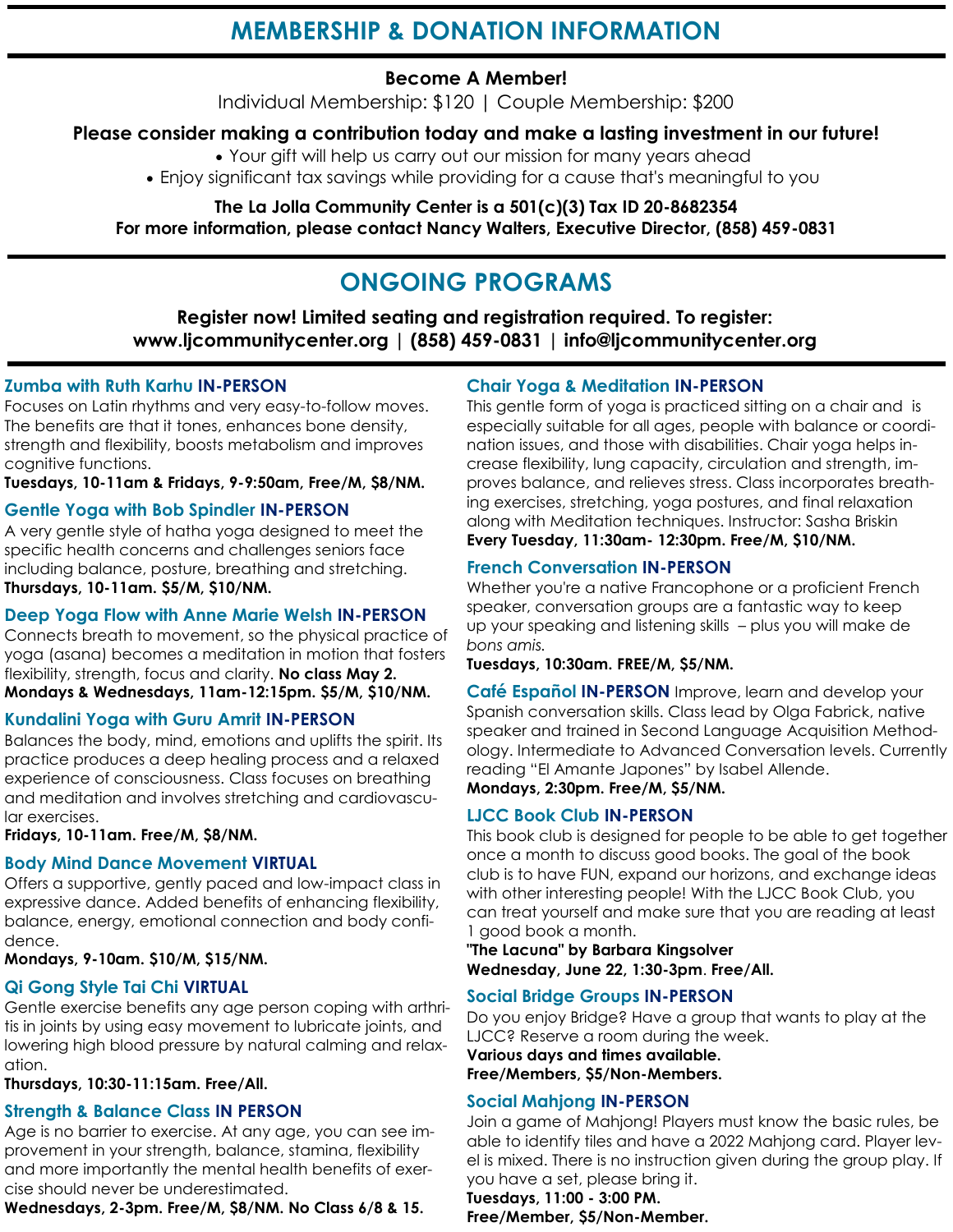## **Become A Member!**

Individual Membership: \$120 | Couple Membership: \$200

## **Please consider making a contribution today and make a lasting investment in our future!**

• Your gift will help us carry out our mission for many years ahead

• Enjoy significant tax savings while providing for a cause that's meaningful to you

**The La Jolla Community Center is a 501(c)(3) Tax ID 20-8682354 For more information, please contact Nancy Walters, Executive Director, (858) 459-0831**

## **ONGOING PROGRAMS**

**Register now! Limited seating and registration required. To register: www.ljcommunitycenter.org | (858) 459-0831 | info@ljcommunitycenter.org** 

## **Zumba with Ruth Karhu IN-PERSON**

Focuses on Latin rhythms and very easy-to-follow moves. The benefits are that it tones, enhances bone density, strength and flexibility, boosts metabolism and improves cognitive functions.

**Tuesdays, 10-11am & Fridays, 9-9:50am, Free/M, \$8/NM.**

## **Gentle Yoga with Bob Spindler IN-PERSON**

A very gentle style of hatha yoga designed to meet the specific health concerns and challenges seniors face including balance, posture, breathing and stretching. **Thursdays, 10-11am. \$5/M, \$10/NM.**

## **Deep Yoga Flow with Anne Marie Welsh IN-PERSON**

Connects breath to movement, so the physical practice of yoga (asana) becomes a meditation in motion that fosters flexibility, strength, focus and clarity. **No class May 2. Mondays & Wednesdays, 11am-12:15pm. \$5/M, \$10/NM.**

## **Kundalini Yoga with Guru Amrit IN-PERSON**

Balances the body, mind, emotions and uplifts the spirit. Its practice produces a deep healing process and a relaxed experience of consciousness. Class focuses on breathing and meditation and involves stretching and cardiovascular exercises.

**Fridays, 10-11am. Free/M, \$8/NM.**

## **Body Mind Dance Movement VIRTUAL**

Offers a supportive, gently paced and low-impact class in expressive dance. Added benefits of enhancing flexibility, balance, energy, emotional connection and body confidence.

## **Mondays, 9-10am. \$10/M, \$15/NM.**

## **Qi Gong Style Tai Chi VIRTUAL**

Gentle exercise benefits any age person coping with arthritis in joints by using easy movement to lubricate joints, and lowering high blood pressure by natural calming and relaxation.

**Thursdays, 10:30-11:15am. Free/All.**

## **Strength & Balance Class IN PERSON**

Age is no barrier to exercise. At any age, you can see improvement in your strength, balance, stamina, flexibility and more importantly the mental health benefits of exercise should never be underestimated.

**Wednesdays, 2-3pm. Free/M, \$8/NM. No Class 6/8 & 15.**

## **Chair Yoga & Meditation IN-PERSON**

This gentle form of yoga is practiced sitting on a chair and is especially suitable for all ages, people with balance or coordination issues, and those with disabilities. Chair yoga helps increase flexibility, lung capacity, circulation and strength, improves balance, and relieves stress. Class incorporates breathing exercises, stretching, yoga postures, and final relaxation along with Meditation techniques. Instructor: Sasha Briskin **Every Tuesday, 11:30am- 12:30pm. Free/M, \$10/NM.**

## **French Conversation IN-PERSON**

Whether you're a native Francophone or a proficient French speaker, conversation groups are a fantastic way to keep up your speaking and listening skills – plus you will make de *bons amis.*

**Tuesdays, 10:30am. FREE/M, \$5/NM.**

**Café Español IN-PERSON** Improve, learn and develop your Spanish conversation skills. Class lead by Olga Fabrick, native speaker and trained in Second Language Acquisition Methodology. Intermediate to Advanced Conversation levels. Currently reading "El Amante Japones" by Isabel Allende. **Mondays, 2:30pm. Free/M, \$5/NM.** 

## **LJCC Book Club IN-PERSON**

This book club is designed for people to be able to get together once a month to discuss good books. The goal of the book club is to have FUN, expand our horizons, and exchange ideas with other interesting people! With the LJCC Book Club, you can treat yourself and make sure that you are reading at least 1 good book a month.

**"The Lacuna" by Barbara Kingsolver Wednesday, June 22, 1:30-3pm**. **Free/All.** 

## **Social Bridge Groups IN-PERSON**

Do you enjoy Bridge? Have a group that wants to play at the LJCC? Reserve a room during the week.

**Various days and times available. Free/Members, \$5/Non-Members.** 

## **Social Mahjong IN-PERSON**

Join a game of Mahjong! Players must know the basic rules, be able to identify tiles and have a 2022 Mahjong card. Player level is mixed. There is no instruction given during the group play. If you have a set, please bring it.

#### **Tuesdays, 11:00 - 3:00 PM. Free/Member, \$5/Non-Member.**